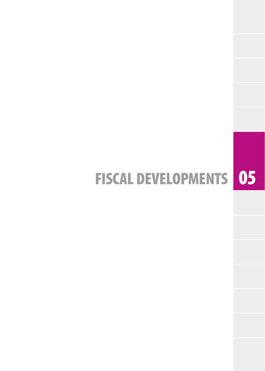# FISCAL DEVELOPMENTS 05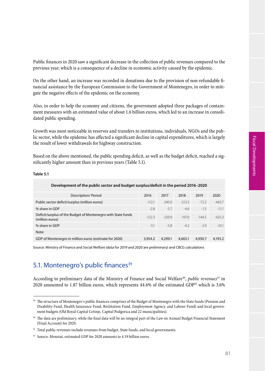Public finances in 2020 saw a significant decrease in the collection of public revenues compared to the previous year, which is a consequence of a decline in economic activity caused by the epidemic.

On the other hand, an increase was recorded in donations due to the provision of non-refundable financial assistance by the European Commission to the Government of Montenegro, in order to mitigate the negative effects of the epidemic on the economy.

Also, in order to help the economy and citizens, the government adopted three packages of containment measures with an estimated value of about 1.6 billion euros, which led to an increase in consolidated public spending.

Growth was most noticeable in reserves and transfers to institutions, individuals, NGOs and the public sector, while the epidemic has affected a significant decline in capital expenditures, which is largely the result of lower withdrawals for highway construction.

Based on the above mentioned, the public spending deficit, as well as the budget deficit, reached a significantly higher amount than in previous years (Table 5.1).

|  |  | ablı |  |  |  |
|--|--|------|--|--|--|
|--|--|------|--|--|--|

| Development of the public sector and budget surplus/deficit in the period 2016–2020 |          |          |          |          |          |  |  |  |  |
|-------------------------------------------------------------------------------------|----------|----------|----------|----------|----------|--|--|--|--|
| Description/Period                                                                  | 2016     | 2017     | 2018     | 2019     | 2020     |  |  |  |  |
| Public sector deficit/surplus (million euros)                                       | $-112.1$ | $-243.0$ | $-213.3$ | $-72.2$  | $-463.7$ |  |  |  |  |
| % share in GDP                                                                      | $-2.8$   | $-5.7$   | $-4.6$   | $-1.5$   | $-11.1$  |  |  |  |  |
| Deficit/surplus of the Budget of Montenegro with State funds<br>(million euros)     | $-122.3$ | $-250.9$ | $-197.0$ | $-144.5$ | $-425.3$ |  |  |  |  |
| % share in GDP                                                                      | $-3.1$   | $-5.8$   | $-4.2$   | $-2.9$   | $-10.1$  |  |  |  |  |
| Note:                                                                               |          |          |          |          |          |  |  |  |  |
| GDP of Montenegro in million euros (estimate for 2020)                              | 3,954.2  | 4,299.1  | 4,663.1  | 4,950.7  | 4,193.2  |  |  |  |  |

Source: Ministry of Finance and Social Welfare (data for 2019 and 2020 are preliminary) and CBCG calculations

# 5.1. Montenegro's public finances<sup>39</sup>

According to preliminary data of the Ministry of Finance and Social Welfare<sup>40</sup>, *public revenues*<sup>41</sup> in 2020 amounted to 1.87 billion euros, which represents  $44.6\%$  of the estimated GDP<sup>42</sup> which is 3.6%

<sup>39</sup> The structure of Montenegro`s public finances comprises of the Budget of Montenegro with the State funds (Pension and Disability Fund, Health Insurance Fund, Restitution Fund, Employment Agency, and Labour Fund) and local government budgets (Old Royal Capital Cetinje, Capital Podgorica and 22 municipalities).

<sup>40</sup> The data are preliminary, while the final data will be an integral part of the Law on Annual Budget Financial Statement (Final Account) for 2020.

<sup>41</sup> Total public revenues include revenues from budget, State funds, and local governments.

<sup>&</sup>lt;sup>42</sup> Source: Monstat, estimated GDP for 2020 amounts to 4.19 billion euros.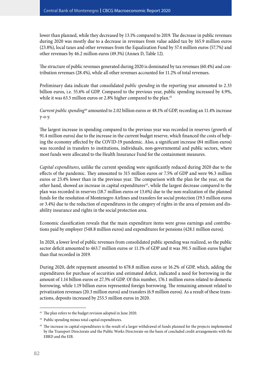lower than planned, while they decreased by 13.1% compared to 2019. The decrease in public revenues during 2020 was mostly due to a decrease in revenues from value added tax by 165.9 million euros (23.8%), local taxes and other revenues from the Equalization Fund by 57.4 million euros (57.7%) and other revenues by 46.2 million euros (49.3%) (Annex D, Table 12).

The structure of public revenues generated during 2020 is dominated by tax revenues (60.4%) and contribution revenues (28.4%), while all other revenues accounted for 11.2% of total revenues.

Preliminary data indicate that consolidated *public spending* in the reporting year amounted to 2.33 billion euros, i.e. 55.6% of GDP. Compared to the previous year, public spending increased by 4.9%, while it was 63.5 million euros or 2.8% higher compared to the plan.<sup>43</sup>

*Current public spending*44 amounted to 2.02 billion euros or 48.1% of GDP, recording an 11.4% increase y-o-y.

The largest increase in spending compared to the previous year was recorded in reserves (growth of 91.4 million euros) due to the increase in the current budget reserve, which financed the costs of helping the economy affected by the COVID-19 pandemic. Also, a significant increase (84 million euros) was recorded in transfers to institutions, individuals, non-governmental and public sectors, where most funds were allocated to the Health Insurance Fund for the containment measures.

*Capital expenditures*, unlike the current spending were significantly reduced during 2020 due to the effects of the pandemic. They amounted to 315 million euros or 7.5% of GDP and were 96.3 million euros or 23.4% lower than in the previous year. The comparison with the plan for the year, on the other hand, showed an increase in capital expenditures<sup>45</sup>, while the largest decrease compared to the plan was recorded in reserves (18.7 million euros or 13.6%) due to the non-realization of the planned funds for the resolution of Montenegro Airlines and transfers for social protection (19.5 million euros or 3.4%) due to the reduction of expenditures in the category of rights in the area of pension and disability insurance and rights in the social protection area.

Economic classification reveals that the main expenditure items were gross earnings and contributions paid by employer (548.8 million euros) and expenditures for pensions (428.1 million euros).

In 2020, a lower level of public revenues from consolidated public spending was realized, so the public sector deficit amounted to 463.7 million euros or 11.1% of GDP and it was 391.5 million euros higher than that recorded in 2019.

During 2020, debt repayment amounted to 678.8 million euros or 16.2% of GDP, which, adding the expenditures for purchase of securities and estimated deficit, indicated a need for borrowing in the amount of 1.14 billion euros or 27.3% of GDP. Of this number, 176.1 million euros related to domestic borrowing, while 1.19 billion euros represented foreign borrowing. The remaining amount related to privatization revenues (20.3 million euros) and transfers (6.9 million euros). As a result of these transactions, deposits increased by 253.5 million euros in 2020.

<sup>&</sup>lt;sup>43</sup> The plan refers to the budget revision adopted in June 2020.

<sup>44</sup> Public spending minus total capital expenditures.

<sup>&</sup>lt;sup>45</sup> The increase in capital expenditures is the result of a larger withdrawal of funds planned for the projects implemented by the Transport Directorate and the Public Works Directorate on the basis of concluded credit arrangements with the EBRD and the EIB.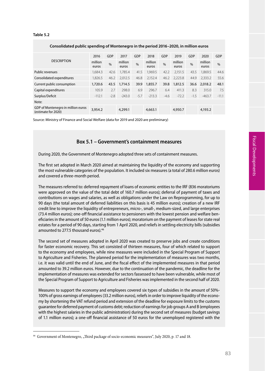#### **Table 5.2**

| Consolidated public spending of Montenegro in the period 2016–2020, in million euros |                  |               |                  |               |                  |               |                  |               |                  |               |  |
|--------------------------------------------------------------------------------------|------------------|---------------|------------------|---------------|------------------|---------------|------------------|---------------|------------------|---------------|--|
| <b>DESCRIPTION</b>                                                                   | 2016             | GDP           | 2017             | GDP           | 2018             | <b>GDP</b>    | 2019             | GDP           | 2020             | GDP           |  |
|                                                                                      | million<br>euros | $\frac{0}{0}$ | million<br>euros | $\frac{0}{0}$ | million<br>euros | $\frac{0}{0}$ | million<br>euros | $\frac{0}{0}$ | million<br>euros | $\frac{0}{0}$ |  |
| Public revenues                                                                      | 1,684.3          | 42.6          | 1,785.4          | 41.5          | 1,969.5          | 42.2          | 2,151.5          | 43.5          | 1,869.5          | 44.6          |  |
| Consolidated expenditures                                                            | 1,826.5          | 46.2          | 2.012.5          | 46.8          | 2.152.4          | 46.2          | 2,223.8          | 44.9          | 2,333.2          | 55.6          |  |
| Current public consumption                                                           | 1,720.6          | 43.5          | 1,714.5          | 39.9          | 1,855.7          | 39.8          | 1,812.5          | 36.6          | 2,018.2          | 48.1          |  |
| Capital expenditures                                                                 | 105.9            | 2.7           | 298.0            | 6.9           | 296.7            | 6.4           | 411.3            | 8.3           | 315.0            | 7.5           |  |
| Surplus/Deficit                                                                      | $-112.1$         | $-2.8$        | $-243.0$         | $-5.7$        | $-213.3$         | $-4.6$        | $-72.2$          | $-1.5$        | $-463.7$         | $-11.1$       |  |
| Note:                                                                                |                  |               |                  |               |                  |               |                  |               |                  |               |  |
| GDP of Montenegro in million euros<br>(estimate for 2020)                            | 3,954.2          |               | 4,299.1          |               | 4,663.1          |               | 4,950.7          |               | 4,193.2          |               |  |

Source: Ministry of Finance and Social Welfare (data for 2019 and 2020 are preliminary)

## **Box 5.1 – Government's containment measures**

During 2020, the Government of Montenegro adopted three sets of containment measures.

The first set adopted in March 2020 aimed at maintaining the liquidity of the economy and supporting the most vulnerable categories of the population. It included six measures (a total of 280.6 million euros) and covered a three-month period.

The measures referred to: deferred repayment of loans of economic entities to the IRF (836 moratoriums were approved on the value of the total debt of 160.7 million euros); deferral of payment of taxes and contributions on wages and salaries, as well as obligations under the Law on Reprogramming, for up to 90 days (the total amount of deferred liabilities on this basis is 45 million euros); creation of a new IRF credit line to improve the liquidity of entrepreneurs, micro-, small-, medium-sized, and large enterprises (73.4 million euros); one-off financial assistance to pensioners with the lowest pension and welfare beneficiaries in the amount of 50 euros (1.1 million euros); moratorium on the payment of leases for state real estates for a period of 90 days, starting from 1 April 2020, and reliefs in settling electricity bills (subsidies amounted to 277.5 thousand euros).<sup>46</sup>

The second set of measures adopted in April 2020 was created to preserve jobs and create conditions for faster economic recovery. This set consisted of thirteen measures, four of which related to support to the economy and employees, while nine measures were included in the Special Program of Support to Agriculture and Fisheries. The planned period for the implementation of measures was two months, i.e. it was valid until the end of June, and the fiscal effect of the implemented measures in that period amounted to 39.2 million euros. However, due to the continuation of the pandemic, the deadline for the implementation of measures was extended for sectors fassessed to have been vulnerable, while most of the Special Program of Support to Agriculture and Fisheries was implemented in the second half of 2020.

Measures to support the economy and employees covered six types of subsidies in the amount of 50%- 100% of gross earnings of employees (33.2 million euros), reliefs in order to improve liquidity of the economy by shortening the VAT refund period and extension of the deadline for exposure limits to the customs guarantee for deferred payment of customs debt; reduction of earnings for job groups A and B (employees with the highest salaries in the public administration) during the second set of measures (budget savings of 1.1 million euros); a one-off financial assistance of 50 euros for the unemployed registered with the

<sup>46</sup> Government of Montenegro, "Third package of socio-economic measures", July 2020, p. 17 and 18.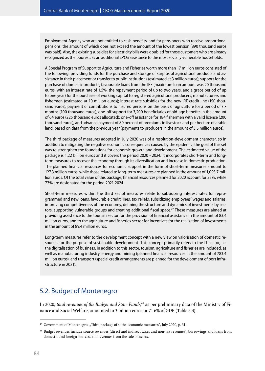Employment Agency who are not entitled to cash benefits, and for pensioners who receive proportional pensions, the amount of which does not exceed the amount of the lowest pension (890 thousand euros was paid). Also, the existing subsidies for electricity bills were doubled for those customers who are already recognized as the poorest, as an additional EPCG assistance to the most socially vulnerable households.

A Special Program of Support to Agriculture and Fisheries worth more than 17 million euros consisted of the following: providing funds for the purchase and storage of surplus of agricultural products and assistance in their placement or transfer to public institutions (estimated at 3 million euros); support for the purchase of domestic products; favourable loans from the IRF (maximum loan amount was 20 thousand euros, with an interest rate of 1.5%, the repayment period of up to two years, and a grace period of up to one year) for the purchase of working capital to registered agricultural producers, manufacturers and fishermen (estimated at 10 million euros); interest rate subsidies for the new IRF credit line (150 thousand euros); payment of contributions to insured persons on the basis of agriculture for a period of six months (100 thousand euros); one-off support for 3,200 beneficiaries of old-age benefits in the amount of 64 euros (225 thousand euros allocated); one-off assistance for 184 fishermen with a valid license (200 thousand euros), and advance payment of 80 percent of premiums in livestock and per hectare of arable land, based on data from the previous year (payments to producers in the amount of 3.5 million euros).

The third package of measures adopted in July 2020 was of a resolution-development character, so in addition to mitigating the negative economic consequences caused by the epidemic, the goal of this set was to strengthen the foundations for economic growth and development. The estimated value of the package is 1.22 billion euros and it covers the period 2020 - 2024. It incorporates short-term and longterm measures to recover the economy through its diversification and increase in domestic production. The planned financial resources for economic support in the form of short-term measures amount to 127.3 million euros, while those related to long-term measures are planned in the amount of 1,093.7 million euros. Of the total value of this package, financial resources planned for 2020 account for 23%, while 77% are designated for the period 2021-2024.

Short-term measures within the third set of measures relate to subsidizing interest rates for reprogrammed and new loans, favourable credit lines, tax reliefs, subsidizing employees' wages and salaries, improving competitiveness of the economy, defining the structure and dynamics of investments by sectors, supporting vulnerable groups and creating additional fiscal space.<sup>47</sup> These measures are aimed at providing assistance to the tourism sector for the provision of financial assistance in the amount of 83.4 million euros, and to the agriculture and fisheries sector for incentives for the realization of investments in the amount of 89.4 million euros.

Long-term measures refer to the development concept with a new view on valorisation of domestic resources for the purpose of sustainable development. This concept primarily refers to the IT sector, i.e. the digitalisation of business. In addition to this sector, tourism, agriculture and fisheries are included, as well as manufacturing industry, energy and mining (planned financial resources in the amount of 783.4 million euros), and transport (special credit arrangements are planned for the development of port infrastructure in 2021).

# 5.2. Budget of Montenegro

In 2020, *total revenues of the Budget and State Funds*, 48 as per preliminary data of the Ministry of Finance and Social Welfare, amounted to 3 billion euros or 71.6% of GDP (Table 5.3).

<sup>&</sup>lt;sup>47</sup> Government of Montenegro, "Third package of socio-economic measures", July 2020, p. 31.

<sup>48</sup> Budget revenues include source revenues (direct and indirect taxes and non-tax revenues), borrowings and loans from domestic and foreign sources, and revenues from the sale of assets.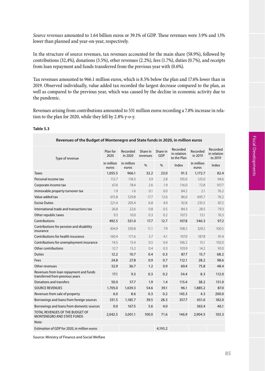*Source revenues* amounted to 1.64 billion euros or 39.1% of GDP. These revenues were 3.9% and 13% lower than planned and year-on-year, respectively.

In the structure of source revenues, tax revenues accounted for the main share (58.9%), followed by contributions (32,4%), donations (3.5%), other revenues (2.2%), fees (1.7%), duties (0.7%), and receipts from loan repayment and funds transferred from the previous year with (0.6%).

Tax revenues amounted to 966.1 million euros, which is 8.5% below the plan and 17.6% lower than in 2019. Observed individually, value added tax recorded the largest decrease compared to the plan, as well as compared to the previous year, which was caused by the decline in economic activity due to the pandemic.

Revenues arising from contributions amounted to 531 million euros recording a 7.8% increase in relation to the plan for 2020, while they fell by 2.8% y-o-y.

#### **Table 5.3**

| Revenues of the Budget of Montenegro and State funds in 2020, in million euros |                     |                     |                      |                 |                                        |                     |                                    |  |  |
|--------------------------------------------------------------------------------|---------------------|---------------------|----------------------|-----------------|----------------------------------------|---------------------|------------------------------------|--|--|
| Type of revenue                                                                | Plan for<br>2020    | Recorded<br>in 2020 | Share in<br>revenues | Share in<br>GDP | Recorded<br>in relation<br>to the Plan | Recorded<br>in 2019 | Recorded<br>in relation<br>to 2019 |  |  |
|                                                                                | in million<br>euros | in million<br>euros | $\%$                 | %               | Index                                  | in million<br>euros | Index                              |  |  |
| <b>Taxes</b>                                                                   | 1,055.5             | 966.1               | 32.2                 | 23.0            | 91.5                                   | 1,172.7             | 82.4                               |  |  |
| Personal income tax                                                            | 112.7               | 118.3               | 3.9                  | 2.8             | 105.0                                  | 125.0               | 94.6                               |  |  |
| Corporate income tax                                                           | 67.6                | 78.4                | 2.6                  | 1.9             | 116.0                                  | 72.8                | 107.7                              |  |  |
| Immovable property turnover tax                                                | 1.9                 | 1.6                 | 0.1                  | 0.0             | 84.2                                   | 2.1                 | 76.2                               |  |  |
| Value added tax                                                                | 615.8               | 529.8               | 17.7                 | 12.6            | 86.0                                   | 695.7               | 76.2                               |  |  |
| <b>Excise Duties</b>                                                           | 221.4               | 205.4               | 6.8                  | 4.9             | 92.8                                   | 235.5               | 87.2                               |  |  |
| International trade and transactions tax                                       | 26.8                | 22.6                | 0.8                  | 0.5             | 84.3                                   | 28.5                | 79.3                               |  |  |
| Other republic taxes                                                           | 9.3                 | 10.0                | 0.3                  | 0.2             | 107.5                                  | 13.1                | 76.3                               |  |  |
| Contributions                                                                  | 492.5               | 531.0               | 17.7                 | 12.7            | 107.8                                  | 546.3               | 97.2                               |  |  |
| Contributions for pension and disability<br>insurance                          | 304.9               | 330.8               | 11.1                 | 7.9             | 108.5                                  | 329.2               | 100.5                              |  |  |
| Contributions for health insurance                                             | 160.4               | 171.6               | 5.7                  | 4.1             | 107.0                                  | 187.8               | 91.4                               |  |  |
| Contributions for unemployment insurance                                       | 14.5                | 15.4                | 0.5                  | 0.4             | 106.2                                  | 15.1                | 102.0                              |  |  |
| Other contributions                                                            | 12.7                | 13.2                | 0.4                  | 0.3             | 103.9                                  | 14.2                | 93.0                               |  |  |
| <b>Duties</b>                                                                  | 12.2                | 10.7                | 0.4                  | 0.3             | 87.7                                   | 15.7                | 68.2                               |  |  |
| Fees                                                                           | 24.8                | 27.8                | 0.9                  | 0.7             | 112.1                                  | 28.2                | 98.6                               |  |  |
| Other revenues                                                                 | 52.9                | 36.7                | 1.2                  | 0.9             | 69.4                                   | 75.8                | 48.4                               |  |  |
| Revenues from loan repayment and funds<br>transferred from previous years      | 17.1                | 9.3                 | 0.3                  | 0.2             | 54.4                                   | 8.3                 | 112.0                              |  |  |
| Donations and transfers                                                        | 50.0                | 57.7                | 1.9                  | 1.4             | 115.4                                  | 38.2                | 151.0                              |  |  |
| <b>SOURCE REVENUES</b>                                                         | 1,705.0             | 1,639.3             | 54.6                 | 39.1            | 96.1                                   | 1,885.2             | 87.0                               |  |  |
| Revenues from sale of property                                                 | 6.0                 | 8.6                 | 0.3                  | 0.2             | 143.3                                  | 4.3                 | 200.0                              |  |  |
| Borrowings and loans from foreign sources                                      | 331.5               | 1,185.7             | 39.5                 | 28.3            | 357.7                                  | 651.6               | 182.0                              |  |  |
| Borrowings and loans from domestic sources                                     | 0.0                 | 167.5               | 5.6                  | 4.0             |                                        | 363.4               | 46.1                               |  |  |
| TOTAL REVENUES OF THE BUDGET OF<br><b>MONTENEGRO AND STATE FUNDS</b>           | 2,042.5             | 3,001.1             | 100.0                | 71.6            | 146.9                                  | 2,904.5             | 103.3                              |  |  |
| Note:                                                                          |                     |                     |                      |                 |                                        |                     |                                    |  |  |
| Estimation of GDP for 2020, in million euros                                   |                     |                     |                      | 4,193.2         |                                        |                     |                                    |  |  |

Source: Ministry of Finance and Social Welfare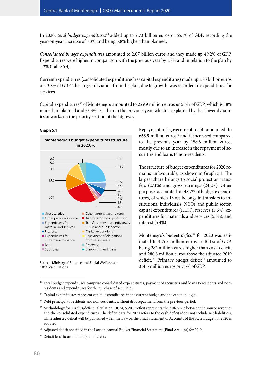In 2020, *total budget expenditures<sup>49</sup>* added up to 2.73 billion euros or 65.1% of GDP, recording the year-on-year increase of 5.3% and being 5.8% higher than planned.

*Consolidated budget expenditures* amounted to 2.07 billion euros and they made up 49.2% of GDP. Expenditures were higher in comparison with the previous year by 1.8% and in relation to the plan by 1.2% (Table 5.4).

Current expenditures (consolidated expenditures less capital expenditures) made up 1.83 billion euros or 43.8% of GDP. The largest deviation from the plan, due to growth, was recorded in expenditures for services.

Capital expenditures<sup>50</sup> of Montenegro amounted to 229.9 million euros or 5.5% of GDP, which is 18% more than planned and 33.3% less than in the previous year, which is explained by the slower dynamics of works on the priority section of the highway.

#### **Graph 5.1**



Source: Ministry of Finance and Social Welfare and CBCG calculations

Repayment of government debt amounted to  $665.9$  million euros<sup>51</sup> and it increased compared to the previous year by 158.6 million euros, mostly due to an increase in the repayment of securities and loans to non-residents.

The structure of budget expenditures for 2020 remains unfavourable, as shown in Graph 5.1. The largest share belongs to social protection transfers (27.1%) and gross earnings (24.2%). Other purposes accounted for 48.7% of budget expenditures, of which 13.6% belongs to transfers to institutions, individuals, NGOs and public sector, capital expenditures (11.1%), reserves (5.6%), expenditures for materials and services (5.5%), and interest (5.4%).

Montenegro's budget *deficit<sup>52</sup>* for 2020 was estimated to 425.3 million euros or 10.1% of GDP, being 282 million euros higher than cash deficit, and 280.8 million euros above the adjusted 2019 deficit.<sup>53</sup> Primary budget deficit<sup>54</sup> amounted to 314.3 million euros or 7.5% of GDP.

- <sup>50</sup> Capital expenditures represent capital expenditures in the current budget and the capital budget.
- <sup>51</sup> Debt principal to residents and non-residents, without debt repayment from the previous period.
- 52 Methodology for surplus/deficit calculation, OGM, 53/09 Deficit represents the difference between the source revenues and the consolidated expenditures. The deficit data for 2020 refers to the cash deficit (does not include net liabilities), while adjusted deficit will be published when the Law on the Final Statement of Accounts of the State Budget for 2020 is adopted.

<sup>54</sup> Deficit less the amount of paid interests

<sup>49</sup> Total budget expenditures comprise consolidated expenditures, payment of securities and loans to residents and nonresidents and expenditures for the purchase of securities.

<sup>53</sup> Adjusted deficit specified in the Law on Annual Budget Financial Statement (Final Account) for 2019.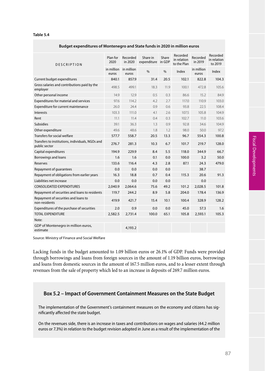#### **Table 5.4**

#### **Budget expenditures of Montenegro and State funds in 2020 in million euros**

| <b>DESCRIPTION</b>                                                | Plan for<br>2020    | Recorded<br>in 2020 | Share in<br>expenditure | Share<br>in GDP | Recorded<br>in relation<br>to the Plan | Recorded<br>in 2019 | Recorded<br>in relation<br>to 2019 |
|-------------------------------------------------------------------|---------------------|---------------------|-------------------------|-----------------|----------------------------------------|---------------------|------------------------------------|
|                                                                   | in million<br>euros | in million<br>euros | $\%$                    | %               | Index                                  | in million<br>euros | Index                              |
| Current budget expenditures                                       | 840.1               | 857.9               | 31.4                    | 20.5            | 102.1                                  | 822.8               | 104.3                              |
| Gross salaries and contributions paid by the<br>employer          | 498.5               | 499.1               | 18.3                    | 11.9            | 100.1                                  | 472.8               | 105.6                              |
| Other personal income                                             | 14.9                | 12.9                | 0.5                     | 0.3             | 86.6                                   | 15.2                | 84.9                               |
| Expenditures for material and services                            | 97.6                | 114.2               | 4.2                     | 2.7             | 117.0                                  | 110.9               | 103.0                              |
| Expenditure for current maintenance                               | 26.0                | 24.4                | 0.9                     | 0.6             | 93.8                                   | 22.5                | 108.4                              |
| Interests                                                         | 103.3               | 111.0               | 4.1                     | 2.6             | 107.5                                  | 105.8               | 104.9                              |
| Rent                                                              | 11.1                | 11.4                | 0.4                     | 0.3             | 102.7                                  | 11.0                | 103.6                              |
| <b>Subsidies</b>                                                  | 39.1                | 36.3                | 1.3                     | 0.9             | 92.8                                   | 34.6                | 104.9                              |
| Other expenditure                                                 | 49.6                | 48.6                | 1.8                     | 1.2             | 98.0                                   | 50.0                | 97.2                               |
| Transfers for social welfare                                      | 577.7               | 558.7               | 20.5                    | 13.3            | 96.7                                   | 554.3               | 100.8                              |
| Transfers to institutions, individuals, NGOs and<br>public sector | 276.7               | 281.3               | 10.3                    | 6.7             | 101.7                                  | 219.7               | 128.0                              |
| Capital expenditures                                              | 194.9               | 229.9               | 8.4                     | 5.5             | 118.0                                  | 344.9               | 66.7                               |
| <b>Borrowings and loans</b>                                       | 1.6                 | 1.6                 | 0.1                     | 0.0             | 100.0                                  | 3.2                 | 50.0                               |
| Reserves                                                          | 133.6               | 116.4               | 4.3                     | 2.8             | 87.1                                   | 24.3                | 479.0                              |
| Repayment of quarantees                                           | 0.0                 | 0.0                 | 0.0                     | 0.0             |                                        | 38.7                |                                    |
| Repayment of obligations from earlier years                       | 16.3                | 18.8                | 0.7                     | 0.4             | 115.3                                  | 20.6                | 91.3                               |
| Liabilities net increase                                          | 0.0                 | 0.0                 | 0.0                     | 0.0             |                                        | 0.0                 |                                    |
| <b>CONSOLIDATED EXPENDITURES</b>                                  | 2,040.9             | 2,064.6             | 75.6                    | 49.2            | 101.2                                  | 2,028.5             | 101.8                              |
| Repayment of securities and loans to residents                    | 119.7               | 244.2               | 8.9                     | 5.8             | 204.0                                  | 178.4               | 136.9                              |
| Repayment of securities and loans to<br>non-residents             | 419.9               | 421.7               | 15.4                    | 10.1            | 100.4                                  | 328.9               | 128.2                              |
| Expenditures of the purchase of securities                        | 2.0                 | 0.9                 | 0.0                     | 0.0             | 45.0                                   | 57.3                | 1.6                                |
| <b>TOTAL EXPENDITURE</b>                                          | 2,582.5             | 2,731.4             | 100.0                   | 65.1            | 105.8                                  | 2,593.1             | 105.3                              |
| Note:                                                             |                     |                     |                         |                 |                                        |                     |                                    |
| GDP of Montenegro in million euros,<br>estimate                   |                     | 4,193.2             |                         |                 |                                        |                     |                                    |

Source: Ministry of Finance and Social Welfare

Lacking funds in the budget amounted to 1.09 billion euros or 26.1% of GDP. Funds were provided through borrowings and loans from foreign sources in the amount of 1.19 billion euros, borrowings and loans from domestic sources in the amount of 167.5 million euros, and to a lesser extent through revenues from the sale of property which led to an increase in deposits of 269.7 million euros.

## **Box 5.2 – Impact of Government Containment Measures on the State Budget**

The implementation of the Government's containment measures on the economy and citizens has significantly affected the state budget.

On the revenues side, there is an increase in taxes and contributions on wages and salaries (44.2 million euros or 7.3%) in relation to the budget revision adopted in June as a result of the implementation of the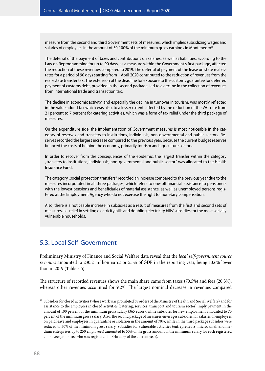measure from the second and third Government sets of measures, which implies subsidizing wages and salaries of employees in the amount of 50-100% of the minimum gross earnings in Montenegro<sup>55</sup>.

The deferral of the payment of taxes and contributions on salaries, as well as liabilities, according to the Law on Reprogramming for up to 90 days, as a measure within the Government's first package, affected the reduction of these revenues compared to 2019. The deferral of payment of the lease on state real estates for a period of 90 days starting from 1 April 2020 contributed to the reduction of revenues from the real estate transfer tax. The extension of the deadline for exposure to the customs guarantee for deferred payment of customs debt, provided in the second package, led to a decline in the collection of revenues from international trade and transaction tax.

The decline in economic activity, and especially the decline in turnover in tourism, was mostly reflected in the value added tax which was also, to a lesser extent, affected by the reduction of the VAT rate from 21 percent to 7 percent for catering activities, which was a form of tax relief under the third package of measures.

On the expenditure side, the implementation of Government measures is most noticeable in the category of reserves and transfers to institutions, individuals, non-governmental and public sectors. Reserves recorded the largest increase compared to the previous year, because the current budget reserves financed the costs of helping the economy, primarily tourism and agriculture sectors.

In order to recover from the consequences of the epidemic, the largest transfer within the category "transfers to institutions, individuals, non-governmental and public sector" was allocated to the Health Insurance Fund.

The category "social protection transfers" recorded an increase compared to the previous year due to the measures incorporated in all three packages, which refers to one-off financial assistance to pensioners with the lowest pensions and beneficiaries of material assistance, as well as unemployed persons registered at the Employment Agency who do not exercise the right to monetary compensation.

Also, there is a noticeable increase in subsidies as a result of measures from the first and second sets of measures, i.e. relief in settling electricity bills and doubling electricity bills' subsidies for the most socially vulnerable households.

# 5.3. Local Self-Government

Preliminary Ministry of Finance and Social Welfare data reveal that the *local self-government source revenues* amounted to 230.2 million euros or 5.5% of GDP in the reporting year, being 13.6% lower than in 2019 (Table 5.5).

The structure of recorded revenues shows the main share came from taxes (70.5%) and fees (20.3%), whereas other revenues accounted for 9.2%. The largest nominal decrease in revenues compared

<sup>55</sup> Subsidies for closed activities (whose work was prohibited by orders of the Ministry of Health and Social Welfare) and for assistance to the employees in closed activities (catering, services, transport and tourism sector) imply payment in the amount of 100 percent of the minimum gross salary (365 euros), while subsidies for new employment amounted to 70 percent of the minimum gross salary. Also, the second package of measures envisages subsidies for salaries of employees on paid leave and employees in quarantine or isolation in the amount of 70%, while in the third package subsidies were reduced to 50% of the minimum gross salary. Subsidies for vulnerable activities (entrepreneurs, micro, small and medium enterprises up to 250 employees) amounted to 50% of the gross amount of the minimum salary for each registered employee (employee who was registered in February of the current year).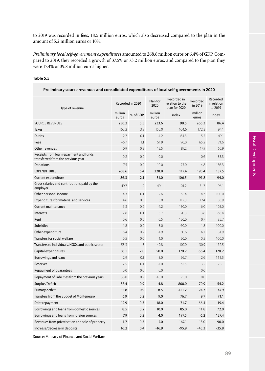to 2019 was recorded in fees, 18.5 million euros, which also decreased compared to the plan in the amount of 5.2 million euros or 10%.

*Preliminary local self-government expenditures* amounted to 268.6 million euros or 6.4% of GDP. Compared to 2019, they recorded a growth of 37.5% or 73.2 million euros, and compared to the plan they were 17.4% or 39.8 million euros higher.

| ш<br>an |  |
|---------|--|
|---------|--|

| Preliminary source revenues and consolidated expenditures of local self-governments in 2020 |                  |                  |                  |                                                 |                     |                                    |  |  |  |
|---------------------------------------------------------------------------------------------|------------------|------------------|------------------|-------------------------------------------------|---------------------|------------------------------------|--|--|--|
| Type of revenue                                                                             |                  | Recorded in 2020 | Plan for<br>2020 | Recorded in<br>relation to the<br>plan for 2020 | Recorded<br>in 2019 | Recorded<br>in relation<br>to 2019 |  |  |  |
|                                                                                             | million<br>euros | % of GDP         | million<br>euros | index                                           | million<br>euros    | index                              |  |  |  |
| <b>SOURCE REVENUES</b>                                                                      | 230.2            | 5.5              | 233.6            | 98.5                                            | 266.3               | 86.4                               |  |  |  |
| <b>Taxes</b>                                                                                | 162.2            | 3.9              | 155.0            | 104.6                                           | 172.3               | 94.1                               |  |  |  |
| <b>Duties</b>                                                                               | 2.7              | 0.1              | 4.2              | 64.3                                            | 5.5                 | 49.1                               |  |  |  |
| Fees                                                                                        | 46.7             | 1.1              | 51.9             | 90.0                                            | 65.2                | 71.6                               |  |  |  |
| Other revenues                                                                              | 10.9             | 0.3              | 12.5             | 87.2                                            | 17.9                | 60.9                               |  |  |  |
| Receipts from loan repayment and funds<br>transferred from the previous year                | 0.2              | 0.0              | 0.0              |                                                 | 0.6                 | 33.3                               |  |  |  |
| <b>Donations</b>                                                                            | 7.5              | 0.2              | 10.0             | 75.0                                            | 4.8                 | 156.3                              |  |  |  |
| <b>EXPENDITURES</b>                                                                         | 268.6            | 6.4              | 228.8            | 117.4                                           | 195.4               | 137.5                              |  |  |  |
| Current expenditure                                                                         | 86.3             | 2.1              | 81.0             | 106.5                                           | 91.8                | 94.0                               |  |  |  |
| Gross salaries and contributions paid by the<br>employer                                    | 49.7             | 1.2              | 49.1             | 101.2                                           | 51.7                | 96.1                               |  |  |  |
| Other personal income                                                                       | 4.3              | 0.1              | 2.6              | 165.4                                           | 4.3                 | 100.0                              |  |  |  |
| <b>Expenditures for material and services</b>                                               | 14.6             | 0.3              | 13.0             | 112.3                                           | 17.4                | 83.9                               |  |  |  |
| <b>Current maintenance</b>                                                                  | 6.3              | 0.2              | 4.2              | 150.0                                           | 6.0                 | 105.0                              |  |  |  |
| <b>Interests</b>                                                                            | 2.6              | 0.1              | 3.7              | 70.3                                            | 3.8                 | 68.4                               |  |  |  |
| Rent                                                                                        | 0.6              | 0.0              | 0.5              | 120.0                                           | 0.7                 | 85.7                               |  |  |  |
| <b>Subsidies</b>                                                                            | 1.8              | 0.0              | 3.0              | 60.0                                            | 1.8                 | 100.0                              |  |  |  |
| Other expenditure                                                                           | 6.4              | 0.2              | 4.9              | 130.6                                           | 6.1                 | 104.9                              |  |  |  |
| Transfers for social welfare                                                                | 0.5              | 0.0              | 1.0              | 50.0                                            | 0.5                 | 100.0                              |  |  |  |
| Transfers to individuals, NGOs and public sector                                            | 53.3             | 1.3              | 49.8             | 107.0                                           | 30.9                | 172.5                              |  |  |  |
| Capital expenditures                                                                        | 85.1             | 2.0              | 50.0             | 170.2                                           | 66.4                | 128.2                              |  |  |  |
| Borrowings and loans                                                                        | 2.9              | 0.1              | 3.0              | 96.7                                            | 2.6                 | 111.5                              |  |  |  |
| Reserves                                                                                    | 2.5              | 0.1              | 4.0              | 62.5                                            | 3.2                 | 78.1                               |  |  |  |
| Repayment of guarantees                                                                     | 0.0              | 0.0              | 0.0              |                                                 | 0.0                 |                                    |  |  |  |
| Repayment of liabilities from the previous years                                            | 38.0             | 0.9              | 40.0             | 95.0                                            | 0.0                 |                                    |  |  |  |
| Surplus/Deficit                                                                             | $-38.4$          | $-0.9$           | 4.8              | $-800.0$                                        | 70.9                | $-54.2$                            |  |  |  |
| Primary deficit                                                                             | $-35.8$          | $-0.9$           | 8.5              | $-421.2$                                        | 74.7                | $-47.9$                            |  |  |  |
| Transfers from the Budget of Montenegro                                                     | 6.9              | 0.2              | 9.0              | 76.7                                            | 9.7                 | 71.1                               |  |  |  |
| Debt repayment                                                                              | 12.9             | 0.3              | 18.0             | 71.7                                            | 66.4                | 19.4                               |  |  |  |
| Borrowings and loans from domestic sources                                                  | 8.5              | 0.2              | 10.0             | 85.0                                            | 11.8                | 72.0                               |  |  |  |
| Borrowings and loans from foreign sources                                                   | 7.9              | 0.2              | 4.0              | 197.5                                           | 6.2                 | 127.4                              |  |  |  |
| Revenues from privatisation and sale of property                                            | 11.7             | 0.3              | 7.0              | 167.1                                           | 13.0                | 90.0                               |  |  |  |
| Increase/decrease in deposits                                                               | 16.2             | 0.4              | $-16.9$          | $-95.9$                                         | $-45.3$             | $-35.8$                            |  |  |  |

Source: Ministry of Finance and Social Welfare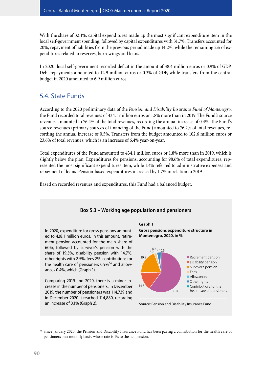With the share of 32.1%, capital expenditures made up the most significant expenditure item in the local self-government spending, followed by capital expenditures with 31.7%. Transfers accounted for 20%, repayment of liabilities from the previous period made up 14.2%, while the remaining 2% of expenditures related to reserves, borrowings and loans.

In 2020, local self-government recorded deficit in the amount of 38.4 million euros or 0.9% of GDP. Debt repayments amounted to 12.9 million euros or 0.3% of GDP, while transfers from the central budget in 2020 amounted to 6.9 million euros.

# 5.4. State Funds

According to the 2020 preliminary data of the *Pension and Disability Insurance Fund of Montenegro*, the Fund recorded total revenues of 434.1 million euros or 1.8% more than in 2019. The Fund's source revenues amounted to 76.4% of the total revenues, recording the annual increase of 0.4%. The Fund's source revenues (primary sources of financing of the Fund) amounted to 76.2% of total revenues, recording the annual increase of 0.5%. Transfers from the budget amounted to 102.6 million euros or 23.6% of total revenues, which is an increase of 6.4% year-on-year.

Total expenditures of the Fund amounted to 434.1 million euros or 1.8% more than in 2019, which is slightly below the plan. Expenditures for pensions, accounting for 98.6% of total expenditures, represented the most significant expenditures item, while 1.4% referred to administrative expenses and repayment of loans. Pension-based expenditures increased by 1.7% in relation to 2019.

Based on recorded revenues and expenditures, this Fund had a balanced budget.

## **Box 5.3 – Working age population and pensioners**

In 2020, expenditure for gross pensions amounted to 428.1 million euros. In this amount, retirement pension accounted for the main share of 60%, followed by survivor's pension with the share of 19.5%, disability pension with 14.7%, other rights with 2.5%, fees 2%, contributions for the health care of pensioners 0.9%<sup>56</sup> and allowances 0.4%, which (Graph 1).

Comparing 2019 and 2020, there is a minor increase in the number of pensioners. In December 2019, the number of pensioners was 114,739 and in December 2020 it reached 114,880, recording an increase of 0.1% (Graph 2).

#### **Graph 1**



Source: Pension and Disability Insurance Fund

<sup>56</sup> Since January 2020, the Pension and Disability Insurance Fund has been paying a contribution for the health care of pensioners on a monthly basis, whose rate is 1% to the net pension.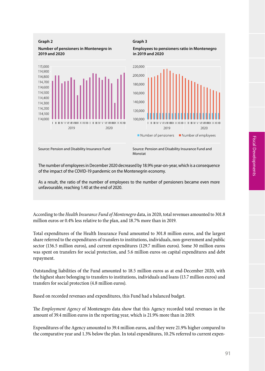#### 115,000 220.000 114,900 200.000 114,800 114,700 180.000 114,600 114,500 160,000 114,400 140.000 114.300 114,200 120.000 114,100 114,000 100,000  $1 - 11 - 11$ 2019 2020

### **Graph 2 Graph 3**

**Employees to pensioners ratio in Montenegro in 2019 and 2020**



**Number of pensioners in Montenegro in**

**2019 and 2020**

Source: Pension and Disability Insurance Fund Source: Pension and Disability Insurance Fund and Monstat

The number of employees in December 2020 decreased by 18.9% year-on-year, which is a consequence of the impact of the COVID-19 pandemic on the Montenegrin economy.

As a result, the ratio of the number of employees to the number of pensioners became even more unfavourable, reaching 1.40 at the end of 2020.

According to the *Health Insurance Fund of Montenegro* data, in 2020, total revenues amounted to 301.8 million euros or 0.4% less relative to the plan, and 18.7% more than in 2019.

Total expenditures of the Health Insurance Fund amounted to 301.8 million euros, and the largest share referred to the expenditures of transfers to institutions, individuals, non-government and public sector (136.5 million euros), and current expenditures (129.7 million euros). Some 30 million euros was spent on transfers for social protection, and 5.6 million euros on capital expenditures and debt repayment.

Outstanding liabilities of the Fund amounted to 18.5 million euros as at end-December 2020, with the highest share belonging to transfers to institutions, individuals and loans (13.7 million euros) and transfers for social protection (4.8 million euros).

Based on recorded revenues and expenditures, this Fund had a balanced budget.

The *Employment Agency* of Montenegro data show that this Agency recorded total revenues in the amount of 39.4 million euros in the reporting year, which is 21.9% more than in 2019.

Expenditures of the Agency amounted to 39.4 million euros, and they were 21.9% higher compared to the comparative year and 1.3% below the plan. In total expenditures, 10.2% referred to current expen